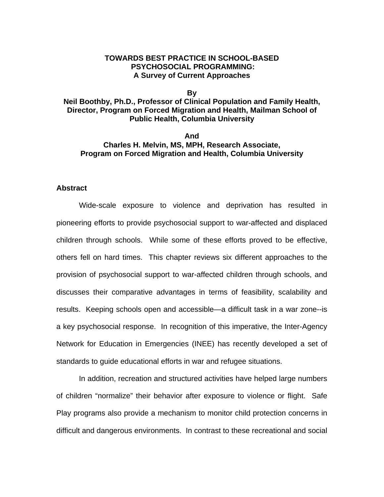### **TOWARDS BEST PRACTICE IN SCHOOL-BASED PSYCHOSOCIAL PROGRAMMING: A Survey of Current Approaches**

#### **By**

## **Neil Boothby, Ph.D., Professor of Clinical Population and Family Health, Director, Program on Forced Migration and Health, Mailman School of Public Health, Columbia University**

### **And Charles H. Melvin, MS, MPH, Research Associate, Program on Forced Migration and Health, Columbia University**

### **Abstract**

Wide-scale exposure to violence and deprivation has resulted in pioneering efforts to provide psychosocial support to war-affected and displaced children through schools. While some of these efforts proved to be effective, others fell on hard times. This chapter reviews six different approaches to the provision of psychosocial support to war-affected children through schools, and discusses their comparative advantages in terms of feasibility, scalability and results. Keeping schools open and accessible—a difficult task in a war zone--is a key psychosocial response. In recognition of this imperative, the Inter-Agency Network for Education in Emergencies (INEE) has recently developed a set of standards to guide educational efforts in war and refugee situations.

In addition, recreation and structured activities have helped large numbers of children "normalize" their behavior after exposure to violence or flight. Safe Play programs also provide a mechanism to monitor child protection concerns in difficult and dangerous environments. In contrast to these recreational and social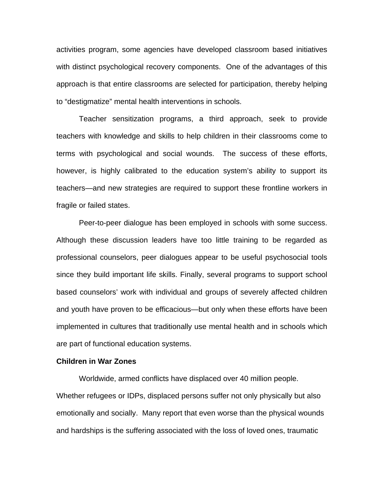activities program, some agencies have developed classroom based initiatives with distinct psychological recovery components. One of the advantages of this approach is that entire classrooms are selected for participation, thereby helping to "destigmatize" mental health interventions in schools.

Teacher sensitization programs, a third approach, seek to provide teachers with knowledge and skills to help children in their classrooms come to terms with psychological and social wounds. The success of these efforts, however, is highly calibrated to the education system's ability to support its teachers—and new strategies are required to support these frontline workers in fragile or failed states.

Peer-to-peer dialogue has been employed in schools with some success. Although these discussion leaders have too little training to be regarded as professional counselors, peer dialogues appear to be useful psychosocial tools since they build important life skills. Finally, several programs to support school based counselors' work with individual and groups of severely affected children and youth have proven to be efficacious—but only when these efforts have been implemented in cultures that traditionally use mental health and in schools which are part of functional education systems.

#### **Children in War Zones**

Worldwide, armed conflicts have displaced over 40 million people. Whether refugees or IDPs, displaced persons suffer not only physically but also emotionally and socially. Many report that even worse than the physical wounds and hardships is the suffering associated with the loss of loved ones, traumatic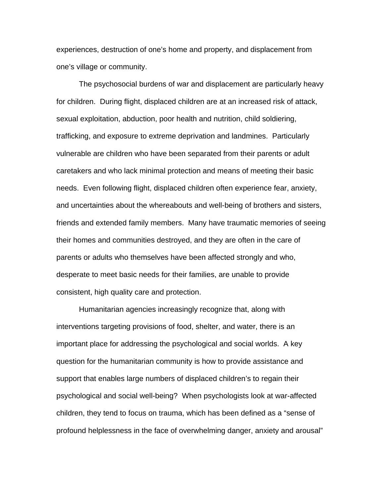experiences, destruction of one's home and property, and displacement from one's village or community.

The psychosocial burdens of war and displacement are particularly heavy for children. During flight, displaced children are at an increased risk of attack, sexual exploitation, abduction, poor health and nutrition, child soldiering, trafficking, and exposure to extreme deprivation and landmines. Particularly vulnerable are children who have been separated from their parents or adult caretakers and who lack minimal protection and means of meeting their basic needs. Even following flight, displaced children often experience fear, anxiety, and uncertainties about the whereabouts and well-being of brothers and sisters, friends and extended family members. Many have traumatic memories of seeing their homes and communities destroyed, and they are often in the care of parents or adults who themselves have been affected strongly and who, desperate to meet basic needs for their families, are unable to provide consistent, high quality care and protection.

Humanitarian agencies increasingly recognize that, along with interventions targeting provisions of food, shelter, and water, there is an important place for addressing the psychological and social worlds. A key question for the humanitarian community is how to provide assistance and support that enables large numbers of displaced children's to regain their psychological and social well-being? When psychologists look at war-affected children, they tend to focus on trauma, which has been defined as a "sense of profound helplessness in the face of overwhelming danger, anxiety and arousal"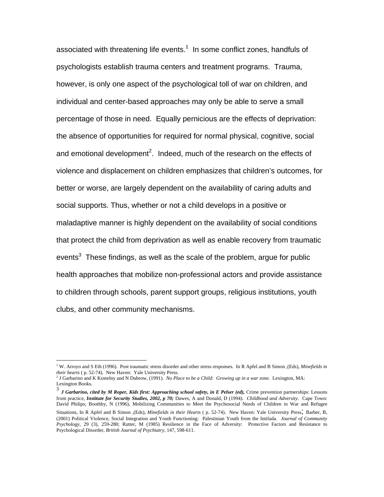associated with threatening life events. $1$  In some conflict zones, handfuls of psychologists establish trauma centers and treatment programs. Trauma, however, is only one aspect of the psychological toll of war on children, and individual and center-based approaches may only be able to serve a small percentage of those in need. Equally pernicious are the effects of deprivation: the absence of opportunities for required for normal physical, cognitive, social and emotional development<sup>2</sup>. Indeed, much of the research on the effects of violence and displacement on children emphasizes that children's outcomes, for better or worse, are largely dependent on the availability of caring adults and social supports. Thus, whether or not a child develops in a positive or maladaptive manner is highly dependent on the availability of social conditions that protect the child from deprivation as well as enable recovery from traumatic events<sup>3</sup> These findings, as well as the scale of the problem, argue for public health approaches that mobilize non-professional actors and provide assistance to children through schools, parent support groups, religious institutions, youth clubs, and other community mechanisms.

1

<sup>&</sup>lt;sup>1</sup> W. Arroyo and S Eth (1996). Post traumatic stress disorder and other stress responses. In R Apfel and B Simon ,(Eds), *Minefields in their hearts* ( p. 52-74). New Haven: Yale University Press. 2

<sup>&</sup>lt;sup>2</sup> J Garbarino and K Kostelny and N Dubrow, (1991). *No Place to be a Child: Growing up in a war zone*. Lexington, MA:

Lexington Books.<br><sup>3</sup> *J Garbarino, cited by M Roper, Kids first: Approaching school safety, in E Pelser (ed), Crime prevention partnerships: Lessons* from practice*, Institute for Security Studies, 2002, p 70;* Dawes, A and Donald, D (1994). *Childhood and Adversity*. Cape Town: David Philips; Boothby, N (1996), Mobilizing Communities to Meet the Psychosocial Needs of Children in War and Refugee

Situations, In R Apfel and B Simon ,(Eds), *Minefields in their Hearts* ( p. 52-74). New Haven: Yale University Press; Barber, B, (2001) Political Violence, Social Integration and Youth Functioning: Palestinian Youth from the Intifada. *Journal of Community Psychology*, 29 (3), 259-280; Rutter, M (1985) Resilience in the Face of Adversity: Protective Factors and Resistance to Psychological Disorder, *British Journal of Psychiatry*, 147, 598-611.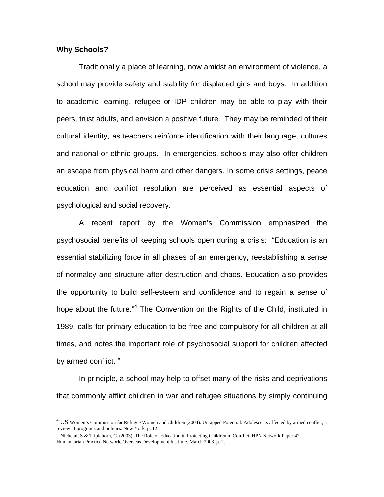### **Why Schools?**

 $\overline{a}$ 

Traditionally a place of learning, now amidst an environment of violence, a school may provide safety and stability for displaced girls and boys. In addition to academic learning, refugee or IDP children may be able to play with their peers, trust adults, and envision a positive future. They may be reminded of their cultural identity, as teachers reinforce identification with their language, cultures and national or ethnic groups. In emergencies, schools may also offer children an escape from physical harm and other dangers. In some crisis settings, peace education and conflict resolution are perceived as essential aspects of psychological and social recovery.

A recent report by the Women's Commission emphasized the psychosocial benefits of keeping schools open during a crisis: "Education is an essential stabilizing force in all phases of an emergency, reestablishing a sense of normalcy and structure after destruction and chaos. Education also provides the opportunity to build self-esteem and confidence and to regain a sense of hope about the future."<sup>4</sup> The Convention on the Rights of the Child, instituted in 1989, calls for primary education to be free and compulsory for all children at all times, and notes the important role of psychosocial support for children affected by armed conflict.<sup>5</sup>

In principle, a school may help to offset many of the risks and deprivations that commonly afflict children in war and refugee situations by simply continuing

 $^{4}$  US Women's Commission for Refugee Women and Children (2004). Untapped Potential: Adolescents affected by armed conflict, a review of programs and policies. New York. p. 12.

<sup>&</sup>lt;sup>5</sup> Nicholai, S & Triplehorn, C. (2003). The Role of Education in Protecting Children in Conflict. HPN Network Paper 42. Humanitarian Practice Network, Overseas Development Institute. March 2003. p. 2.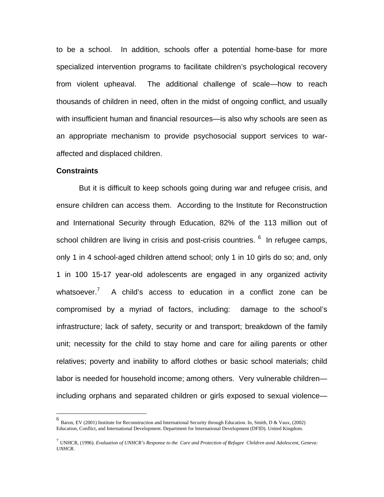to be a school. In addition, schools offer a potential home-base for more specialized intervention programs to facilitate children's psychological recovery from violent upheaval. The additional challenge of scale—how to reach thousands of children in need, often in the midst of ongoing conflict, and usually with insufficient human and financial resources—is also why schools are seen as an appropriate mechanism to provide psychosocial support services to waraffected and displaced children.

#### **Constraints**

1

But it is difficult to keep schools going during war and refugee crisis, and ensure children can access them. According to the Institute for Reconstruction and International Security through Education, 82% of the 113 million out of school children are living in crisis and post-crisis countries. <sup>6</sup> In refugee camps, only 1 in 4 school-aged children attend school; only 1 in 10 girls do so; and, only 1 in 100 15-17 year-old adolescents are engaged in any organized activity whatsoever.<sup>7</sup> A child's access to education in a conflict zone can be compromised by a myriad of factors, including: damage to the school's infrastructure; lack of safety, security or and transport; breakdown of the family unit; necessity for the child to stay home and care for ailing parents or other relatives; poverty and inability to afford clothes or basic school materials; child labor is needed for household income; among others. Very vulnerable children including orphans and separated children or girls exposed to sexual violence—

<sup>6</sup> Baron, EV (2001) Institute for Reconstruction and International Security through Education. In, Smith, D & Vaux, (2002) Education, Conflict, and International Development. Department for International Development (DFID). United Kingdom.

<sup>7</sup> UNHCR, (1996). *Evaluation of UNHCR's Response to the Care and Protection of Refugee Children asnd Adolescent, Geneva: UNHCR*.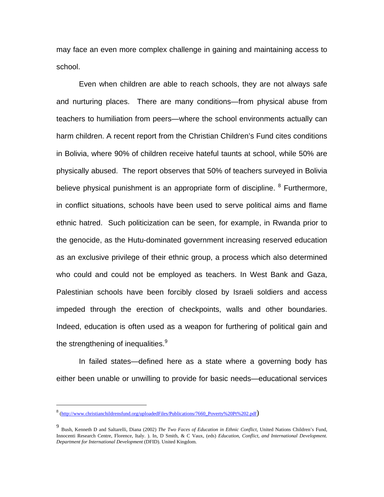may face an even more complex challenge in gaining and maintaining access to school.

Even when children are able to reach schools, they are not always safe and nurturing places. There are many conditions—from physical abuse from teachers to humiliation from peers—where the school environments actually can harm children. A recent report from the Christian Children's Fund cites conditions in Bolivia, where 90% of children receive hateful taunts at school, while 50% are physically abused. The report observes that 50% of teachers surveyed in Bolivia believe physical punishment is an appropriate form of discipline. <sup>8</sup> Furthermore, in conflict situations, schools have been used to serve political aims and flame ethnic hatred. Such politicization can be seen, for example, in Rwanda prior to the genocide, as the Hutu-dominated government increasing reserved education as an exclusive privilege of their ethnic group, a process which also determined who could and could not be employed as teachers. In West Bank and Gaza, Palestinian schools have been forcibly closed by Israeli soldiers and access impeded through the erection of checkpoints, walls and other boundaries. Indeed, education is often used as a weapon for furthering of political gain and the strengthening of inequalities. $9$ 

In failed states—defined here as a state where a governing body has either been unable or unwilling to provide for basic needs—educational services

<sup>&</sup>lt;sup>8</sup> (http://www.christianchildrensfund.org/uploadedFiles/Publications/7660\_Poverty%20Pt%202.pdf)

<sup>9</sup> Bush, Kenneth D and Saltarelli, Diana (2002) *The Two Faces of Education in Ethnic Conflict*, United Nations Children's Fund, Innocenti Research Centre, Florence, Italy. ). In, D Smith, & C Vaux, (eds) *Education, Conflict, and International Development. Department for International Development* (DFID). United Kingdom.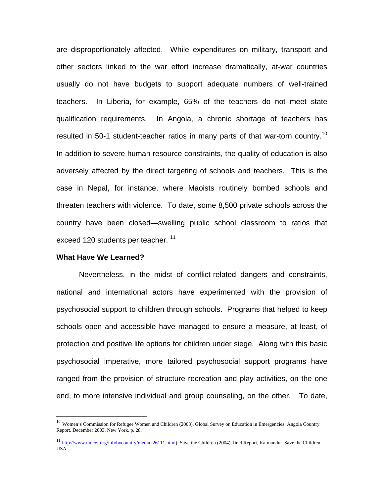are disproportionately affected. While expenditures on military, transport and other sectors linked to the war effort increase dramatically, at-war countries usually do not have budgets to support adequate numbers of well-trained teachers. In Liberia, for example, 65% of the teachers do not meet state qualification requirements. In Angola, a chronic shortage of teachers has resulted in 50-1 student-teacher ratios in many parts of that war-torn country.<sup>10</sup> In addition to severe human resource constraints, the quality of education is also adversely affected by the direct targeting of schools and teachers. This is the case in Nepal, for instance, where Maoists routinely bombed schools and threaten teachers with violence. To date, some 8,500 private schools across the country have been closed—swelling public school classroom to ratios that exceed 120 students per teacher.<sup>11</sup>

#### **What Have We Learned?**

<u>.</u>

Nevertheless, in the midst of conflict-related dangers and constraints, national and international actors have experimented with the provision of psychosocial support to children through schools. Programs that helped to keep schools open and accessible have managed to ensure a measure, at least, of protection and positive life options for children under siege. Along with this basic psychosocial imperative, more tailored psychosocial support programs have ranged from the provision of structure recreation and play activities, on the one end, to more intensive individual and group counseling, on the other. To date,

<sup>&</sup>lt;sup>10</sup> Women's Commission for Refugee Women and Children (2003). Global Survey on Education in Emergencies: Angola Country Report. December 2003. New York. p. 28.

<sup>&</sup>lt;sup>11</sup> http://www.unicef.org/infobycountry/media\_26111.html); Save the Children (2004), field Report, Katmandu: Save the Children USA.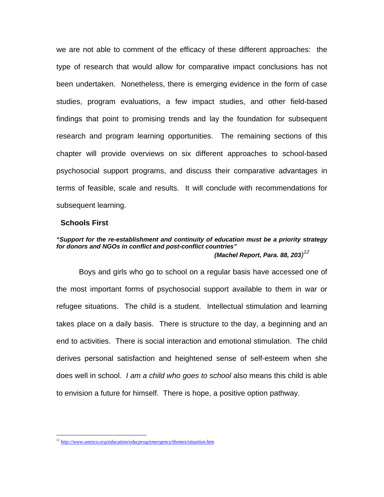we are not able to comment of the efficacy of these different approaches: the type of research that would allow for comparative impact conclusions has not been undertaken. Nonetheless, there is emerging evidence in the form of case studies, program evaluations, a few impact studies, and other field-based findings that point to promising trends and lay the foundation for subsequent research and program learning opportunities. The remaining sections of this chapter will provide overviews on six different approaches to school-based psychosocial support programs, and discuss their comparative advantages in terms of feasible, scale and results. It will conclude with recommendations for subsequent learning.

#### **Schools First**

1

#### *"Support for the re-establishment and continuity of education must be a priority strategy for donors and NGOs in conflict and post-conflict countries" (Machel Report, Para. 88, 203) 12*

Boys and girls who go to school on a regular basis have accessed one of the most important forms of psychosocial support available to them in war or refugee situations. The child is a student. Intellectual stimulation and learning takes place on a daily basis. There is structure to the day, a beginning and an end to activities. There is social interaction and emotional stimulation. The child derives personal satisfaction and heightened sense of self-esteem when she does well in school. *I am a child who goes to school* also means this child is able to envision a future for himself. There is hope, a positive option pathway.

<sup>12</sup> *http://www.unesco.org/education/educprog/emergency/themes/situation.htm*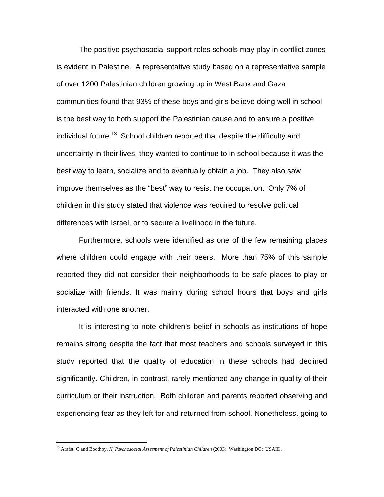The positive psychosocial support roles schools may play in conflict zones is evident in Palestine. A representative study based on a representative sample of over 1200 Palestinian children growing up in West Bank and Gaza communities found that 93% of these boys and girls believe doing well in school is the best way to both support the Palestinian cause and to ensure a positive individual future.<sup>13</sup> School children reported that despite the difficulty and uncertainty in their lives, they wanted to continue to in school because it was the best way to learn, socialize and to eventually obtain a job. They also saw improve themselves as the "best" way to resist the occupation. Only 7% of children in this study stated that violence was required to resolve political differences with Israel, or to secure a livelihood in the future.

Furthermore, schools were identified as one of the few remaining places where children could engage with their peers. More than 75% of this sample reported they did not consider their neighborhoods to be safe places to play or socialize with friends. It was mainly during school hours that boys and girls interacted with one another.

It is interesting to note children's belief in schools as institutions of hope remains strong despite the fact that most teachers and schools surveyed in this study reported that the quality of education in these schools had declined significantly. Children, in contrast, rarely mentioned any change in quality of their curriculum or their instruction. Both children and parents reported observing and experiencing fear as they left for and returned from school. Nonetheless, going to

<sup>13</sup> Arafat, C and Boothby*, N, Psychosocial Assesment of Palestinian Children* (2003), Washington DC: USAID.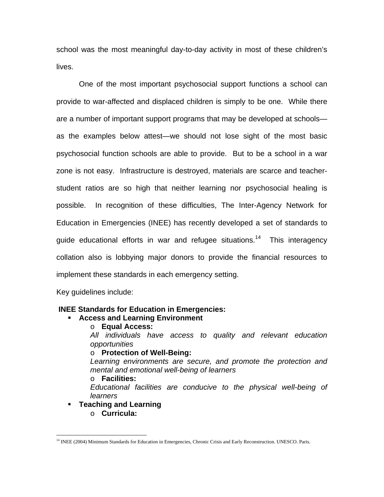school was the most meaningful day-to-day activity in most of these children's lives.

One of the most important psychosocial support functions a school can provide to war-affected and displaced children is simply to be one. While there are a number of important support programs that may be developed at schools as the examples below attest—we should not lose sight of the most basic psychosocial function schools are able to provide. But to be a school in a war zone is not easy. Infrastructure is destroyed, materials are scarce and teacherstudent ratios are so high that neither learning nor psychosocial healing is possible. In recognition of these difficulties, The Inter-Agency Network for Education in Emergencies (INEE) has recently developed a set of standards to guide educational efforts in war and refugee situations.<sup>14</sup> This interagency collation also is lobbying major donors to provide the financial resources to implement these standards in each emergency setting.

Key guidelines include:

### **INEE Standards for Education in Emergencies:**

- **Access and Learning Environment** 
	- o **Equal Access:**

*All individuals have access to quality and relevant education opportunities* 

### o **Protection of Well-Being:**

*Learning environments are secure, and promote the protection and mental and emotional well-being of learners* 

o **Facilities:** 

*Educational facilities are conducive to the physical well-being of learners*

- **Teaching and Learning** 
	- o **Curricula:**

<sup>&</sup>lt;sup>14</sup> INEE (2004) Minimum Standards for Education in Emergencies, Chronic Crisis and Early Reconstruction. UNESCO. Paris.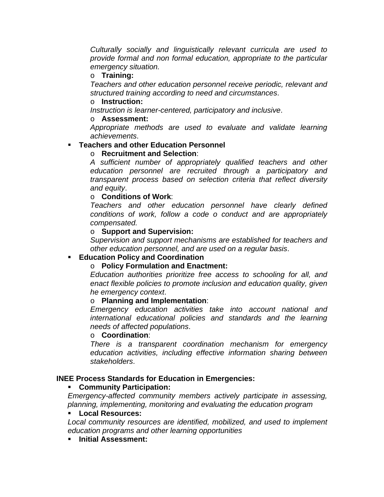*Culturally socially and linguistically relevant curricula are used to provide formal and non formal education, appropriate to the particular emergency situation.* 

## o **Training:**

*Teachers and other education personnel receive periodic, relevant and structured training according to need and circumstances*.

## o **Instruction:**

*Instruction is learner-centered, participatory and inclusive*.

## o **Assessment:**

*Appropriate methods are used to evaluate and validate learning achievements*.

# **Teachers and other Education Personnel**

# o **Recruitment and Selection**:

*A sufficient number of appropriately qualified teachers and other education personnel are recruited through a participatory and transparent process based on selection criteria that reflect diversity and equity*.

## o **Conditions of Work**:

*Teachers and other education personnel have clearly defined conditions of work, follow a code o conduct and are appropriately compensated.* 

## o **Support and Supervision:**

*Supervision and support mechanisms are established for teachers and other education personnel, and are used on a regular basis*.

# **Education Policy and Coordination**

# o **Policy Formulation and Enactment:**

*Education authorities prioritize free access to schooling for all, and enact flexible policies to promote inclusion and education quality, given he emergency context*.

## o **Planning and Implementation**:

*Emergency education activities take into account national and international educational policies and standards and the learning needs of affected populations*.

## o **Coordination**:

*There is a transparent coordination mechanism for emergency education activities, including effective information sharing between stakeholders*.

## **INEE Process Standards for Education in Emergencies:**

# **Community Participation:**

*Emergency-affected community members actively participate in assessing, planning, implementing, monitoring and evaluating the education program*

## **Local Resources:**

*Local community resources are identified, mobilized, and used to implement education programs and other learning opportunities* 

## **Initial Assessment:**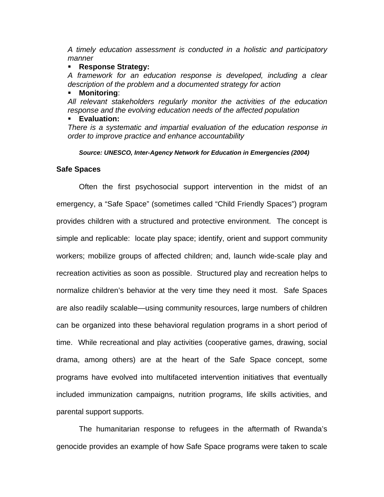*A timely education assessment is conducted in a holistic and participatory manner*

### **Response Strategy:**

*A framework for an education response is developed, including a clear description of the problem and a documented strategy for action* 

### **Monitoring**:

*All relevant stakeholders regularly monitor the activities of the education response and the evolving education needs of the affected population*

### **Evaluation:**

*There is a systematic and impartial evaluation of the education response in order to improve practice and enhance accountability* 

*Source: UNESCO, Inter-Agency Network for Education in Emergencies (2004)* 

### **Safe Spaces**

Often the first psychosocial support intervention in the midst of an emergency, a "Safe Space" (sometimes called "Child Friendly Spaces") program provides children with a structured and protective environment. The concept is simple and replicable: locate play space; identify, orient and support community workers; mobilize groups of affected children; and, launch wide-scale play and recreation activities as soon as possible. Structured play and recreation helps to normalize children's behavior at the very time they need it most. Safe Spaces are also readily scalable—using community resources, large numbers of children can be organized into these behavioral regulation programs in a short period of time. While recreational and play activities (cooperative games, drawing, social drama, among others) are at the heart of the Safe Space concept, some programs have evolved into multifaceted intervention initiatives that eventually included immunization campaigns, nutrition programs, life skills activities, and parental support supports.

The humanitarian response to refugees in the aftermath of Rwanda's genocide provides an example of how Safe Space programs were taken to scale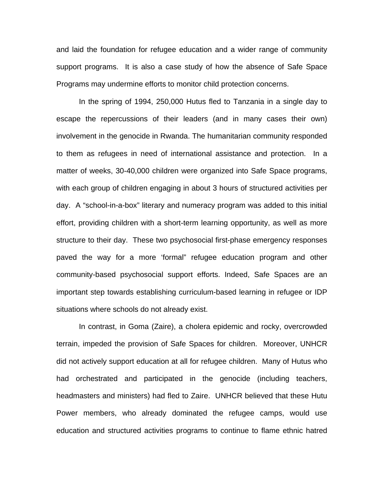and laid the foundation for refugee education and a wider range of community support programs. It is also a case study of how the absence of Safe Space Programs may undermine efforts to monitor child protection concerns.

In the spring of 1994, 250,000 Hutus fled to Tanzania in a single day to escape the repercussions of their leaders (and in many cases their own) involvement in the genocide in Rwanda. The humanitarian community responded to them as refugees in need of international assistance and protection. In a matter of weeks, 30-40,000 children were organized into Safe Space programs, with each group of children engaging in about 3 hours of structured activities per day. A "school-in-a-box" literary and numeracy program was added to this initial effort, providing children with a short-term learning opportunity, as well as more structure to their day. These two psychosocial first-phase emergency responses paved the way for a more 'formal" refugee education program and other community-based psychosocial support efforts. Indeed, Safe Spaces are an important step towards establishing curriculum-based learning in refugee or IDP situations where schools do not already exist.

In contrast, in Goma (Zaire), a cholera epidemic and rocky, overcrowded terrain, impeded the provision of Safe Spaces for children. Moreover, UNHCR did not actively support education at all for refugee children. Many of Hutus who had orchestrated and participated in the genocide (including teachers, headmasters and ministers) had fled to Zaire. UNHCR believed that these Hutu Power members, who already dominated the refugee camps, would use education and structured activities programs to continue to flame ethnic hatred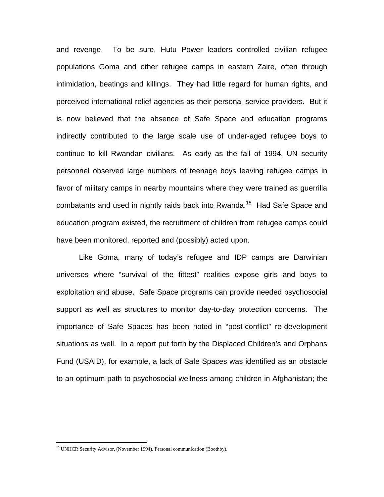and revenge. To be sure, Hutu Power leaders controlled civilian refugee populations Goma and other refugee camps in eastern Zaire, often through intimidation, beatings and killings. They had little regard for human rights, and perceived international relief agencies as their personal service providers. But it is now believed that the absence of Safe Space and education programs indirectly contributed to the large scale use of under-aged refugee boys to continue to kill Rwandan civilians. As early as the fall of 1994, UN security personnel observed large numbers of teenage boys leaving refugee camps in favor of military camps in nearby mountains where they were trained as guerrilla combatants and used in nightly raids back into Rwanda.<sup>15</sup> Had Safe Space and education program existed, the recruitment of children from refugee camps could have been monitored, reported and (possibly) acted upon.

Like Goma, many of today's refugee and IDP camps are Darwinian universes where "survival of the fittest" realities expose girls and boys to exploitation and abuse. Safe Space programs can provide needed psychosocial support as well as structures to monitor day-to-day protection concerns. The importance of Safe Spaces has been noted in "post-conflict" re-development situations as well. In a report put forth by the Displaced Children's and Orphans Fund (USAID), for example, a lack of Safe Spaces was identified as an obstacle to an optimum path to psychosocial wellness among children in Afghanistan; the

<sup>&</sup>lt;sup>15</sup> UNHCR Security Advisor, (November 1994). Personal communication (Boothby).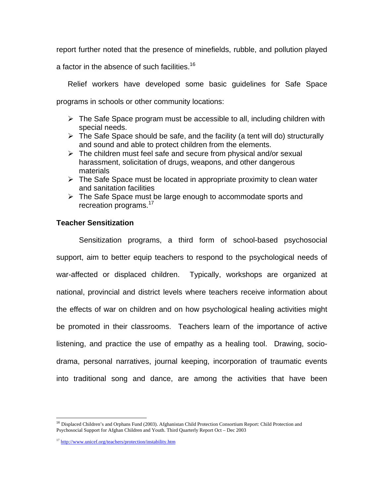report further noted that the presence of minefields, rubble, and pollution played

a factor in the absence of such facilities.<sup>16</sup>

Relief workers have developed some basic guidelines for Safe Space programs in schools or other community locations:

- $\triangleright$  The Safe Space program must be accessible to all, including children with special needs.
- $\triangleright$  The Safe Space should be safe, and the facility (a tent will do) structurally and sound and able to protect children from the elements.
- $\triangleright$  The children must feel safe and secure from physical and/or sexual harassment, solicitation of drugs, weapons, and other dangerous materials
- $\triangleright$  The Safe Space must be located in appropriate proximity to clean water and sanitation facilities
- $\triangleright$  The Safe Space must be large enough to accommodate sports and recreation programs.<sup>17</sup>

## **Teacher Sensitization**

Sensitization programs, a third form of school-based psychosocial support, aim to better equip teachers to respond to the psychological needs of war-affected or displaced children. Typically, workshops are organized at national, provincial and district levels where teachers receive information about the effects of war on children and on how psychological healing activities might be promoted in their classrooms. Teachers learn of the importance of active listening, and practice the use of empathy as a healing tool. Drawing, sociodrama, personal narratives, journal keeping, incorporation of traumatic events into traditional song and dance, are among the activities that have been

 $\overline{a}$ <sup>16</sup> Displaced Children's and Orphans Fund (2003). Afghanistan Child Protection Consortium Report: Child Protection and Psychosocial Support for Afghan Children and Youth. Third Quarterly Report Oct – Dec 2003

<sup>17</sup> http://www.unicef.org/teachers/protection/instability.htm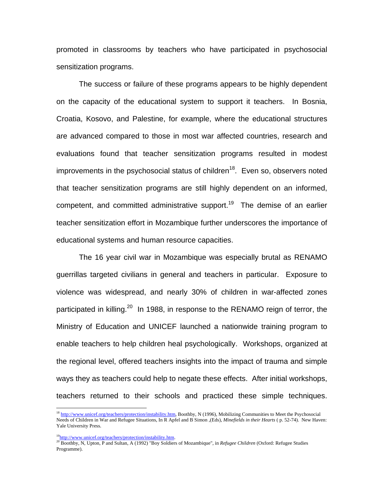promoted in classrooms by teachers who have participated in psychosocial sensitization programs.

The success or failure of these programs appears to be highly dependent on the capacity of the educational system to support it teachers. In Bosnia, Croatia, Kosovo, and Palestine, for example, where the educational structures are advanced compared to those in most war affected countries, research and evaluations found that teacher sensitization programs resulted in modest improvements in the psychosocial status of children<sup>18</sup>. Even so, observers noted that teacher sensitization programs are still highly dependent on an informed, competent, and committed administrative support.<sup>19</sup> The demise of an earlier teacher sensitization effort in Mozambique further underscores the importance of educational systems and human resource capacities.

The 16 year civil war in Mozambique was especially brutal as RENAMO guerrillas targeted civilians in general and teachers in particular. Exposure to violence was widespread, and nearly 30% of children in war-affected zones participated in killing.<sup>20</sup> In 1988, in response to the RENAMO reign of terror, the Ministry of Education and UNICEF launched a nationwide training program to enable teachers to help children heal psychologically. Workshops, organized at the regional level, offered teachers insights into the impact of trauma and simple ways they as teachers could help to negate these effects. After initial workshops, teachers returned to their schools and practiced these simple techniques.

<sup>&</sup>lt;sup>18</sup> http://www.unicef.org/teachers/protection/instability.htm, Boothby, N (1996), Mobilizing Communities to Meet the Psychosocial Needs of Children in War and Refugee Situations, In R Apfel and B Simon ,(Eds), *Minefields in their Hearts* ( p. 52-74). New Haven: Yale University Press.

<sup>&</sup>lt;sup>19</sup>http://www.unicef.org/teachers/protection/instability.htm.<br><sup>20</sup> Boothby, N, Upton, P and Sultan, A (1992) "Boy Soldiers of Mozambique", in *Refugee Children* (Oxford: Refugee Studies Programme).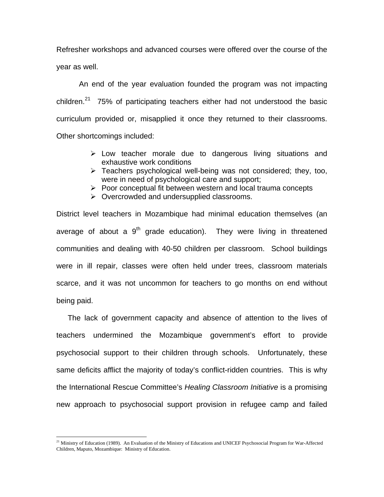Refresher workshops and advanced courses were offered over the course of the year as well.

An end of the year evaluation founded the program was not impacting children.<sup>21</sup> 75% of participating teachers either had not understood the basic curriculum provided or, misapplied it once they returned to their classrooms. Other shortcomings included:

- $\triangleright$  Low teacher morale due to dangerous living situations and exhaustive work conditions
- $\triangleright$  Teachers psychological well-being was not considered; they, too, were in need of psychological care and support;
- $\triangleright$  Poor conceptual fit between western and local trauma concepts
- ¾ Overcrowded and undersupplied classrooms.

District level teachers in Mozambique had minimal education themselves (an average of about a  $9<sup>th</sup>$  grade education). They were living in threatened communities and dealing with 40-50 children per classroom. School buildings were in ill repair, classes were often held under trees, classroom materials scarce, and it was not uncommon for teachers to go months on end without being paid.

The lack of government capacity and absence of attention to the lives of teachers undermined the Mozambique government's effort to provide psychosocial support to their children through schools. Unfortunately, these same deficits afflict the majority of today's conflict-ridden countries. This is why the International Rescue Committee's *Healing Classroom Initiative* is a promising new approach to psychosocial support provision in refugee camp and failed

<sup>&</sup>lt;sup>21</sup> Ministry of Education (1989). An Evaluation of the Ministry of Educations and UNICEF Psychosocial Program for War-Affected Children, Maputo, Mozambique: Ministry of Education.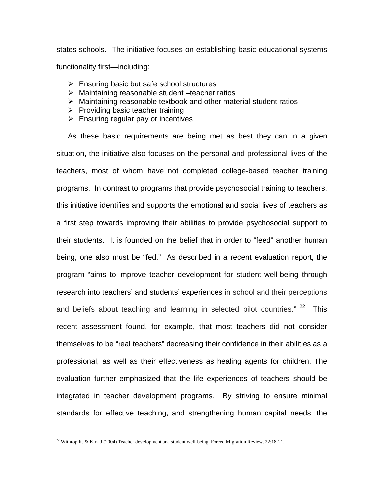states schools. The initiative focuses on establishing basic educational systems functionality first—including:

- $\triangleright$  Ensuring basic but safe school structures
- $\triangleright$  Maintaining reasonable student –teacher ratios
- $\triangleright$  Maintaining reasonable textbook and other material-student ratios
- $\triangleright$  Providing basic teacher training
- $\triangleright$  Ensuring regular pay or incentives

As these basic requirements are being met as best they can in a given situation, the initiative also focuses on the personal and professional lives of the teachers, most of whom have not completed college-based teacher training programs. In contrast to programs that provide psychosocial training to teachers, this initiative identifies and supports the emotional and social lives of teachers as a first step towards improving their abilities to provide psychosocial support to their students. It is founded on the belief that in order to "feed" another human being, one also must be "fed." As described in a recent evaluation report, the program "aims to improve teacher development for student well-being through research into teachers' and students' experiences in school and their perceptions and beliefs about teaching and learning in selected pilot countries."  $22$  This recent assessment found, for example, that most teachers did not consider themselves to be "real teachers" decreasing their confidence in their abilities as a professional, as well as their effectiveness as healing agents for children. The evaluation further emphasized that the life experiences of teachers should be integrated in teacher development programs. By striving to ensure minimal standards for effective teaching, and strengthening human capital needs, the

1

<sup>&</sup>lt;sup>22</sup> Withrop R. & Kirk J (2004) Teacher development and student well-being. Forced Migration Review. 22:18-21.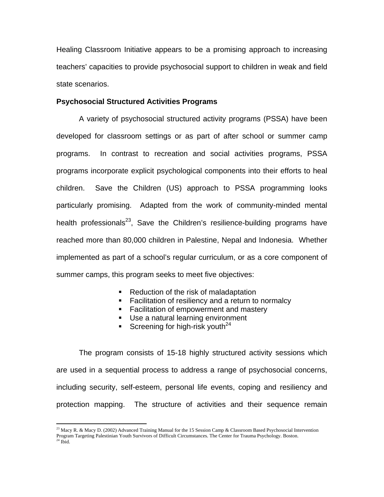Healing Classroom Initiative appears to be a promising approach to increasing teachers' capacities to provide psychosocial support to children in weak and field state scenarios.

#### **Psychosocial Structured Activities Programs**

A variety of psychosocial structured activity programs (PSSA) have been developed for classroom settings or as part of after school or summer camp programs. In contrast to recreation and social activities programs, PSSA programs incorporate explicit psychological components into their efforts to heal children. Save the Children (US) approach to PSSA programming looks particularly promising. Adapted from the work of community-minded mental health professionals<sup>23</sup>, Save the Children's resilience-building programs have reached more than 80,000 children in Palestine, Nepal and Indonesia. Whether implemented as part of a school's regular curriculum, or as a core component of summer camps, this program seeks to meet five objectives:

- Reduction of the risk of maladaptation
- **Facilitation of resiliency and a return to normalcy**
- **Facilitation of empowerment and mastery**
- **Use a natural learning environment**
- Screening for high-risk youth<sup>24</sup>

The program consists of 15-18 highly structured activity sessions which are used in a sequential process to address a range of psychosocial concerns, including security, self-esteem, personal life events, coping and resiliency and protection mapping. The structure of activities and their sequence remain

<sup>&</sup>lt;sup>23</sup> Macy R. & Macy D. (2002) Advanced Training Manual for the 15 Session Camp & Classroom Based Psychosocial Intervention Program Targeting Palestinian Youth Survivors of Difficult Circumstances. The Center for Trauma Psychology. Boston. <sup>24</sup> Ibid.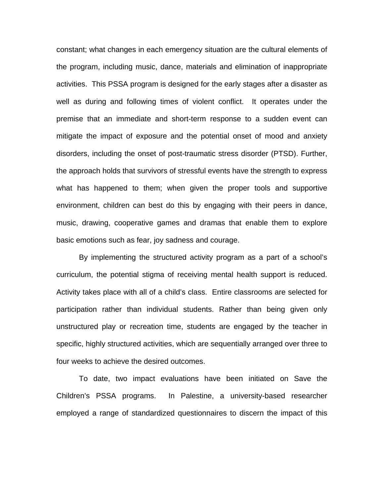constant; what changes in each emergency situation are the cultural elements of the program, including music, dance, materials and elimination of inappropriate activities. This PSSA program is designed for the early stages after a disaster as well as during and following times of violent conflict. It operates under the premise that an immediate and short-term response to a sudden event can mitigate the impact of exposure and the potential onset of mood and anxiety disorders, including the onset of post-traumatic stress disorder (PTSD). Further, the approach holds that survivors of stressful events have the strength to express what has happened to them; when given the proper tools and supportive environment, children can best do this by engaging with their peers in dance, music, drawing, cooperative games and dramas that enable them to explore basic emotions such as fear, joy sadness and courage.

By implementing the structured activity program as a part of a school's curriculum, the potential stigma of receiving mental health support is reduced. Activity takes place with all of a child's class. Entire classrooms are selected for participation rather than individual students. Rather than being given only unstructured play or recreation time, students are engaged by the teacher in specific, highly structured activities, which are sequentially arranged over three to four weeks to achieve the desired outcomes.

To date, two impact evaluations have been initiated on Save the Children's PSSA programs. In Palestine, a university-based researcher employed a range of standardized questionnaires to discern the impact of this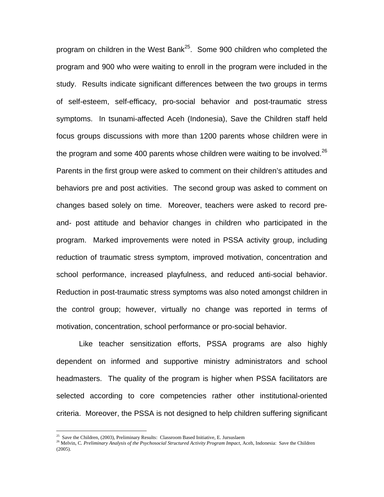program on children in the West Bank<sup>25</sup>. Some 900 children who completed the program and 900 who were waiting to enroll in the program were included in the study. Results indicate significant differences between the two groups in terms of self-esteem, self-efficacy, pro-social behavior and post-traumatic stress symptoms. In tsunami-affected Aceh (Indonesia), Save the Children staff held focus groups discussions with more than 1200 parents whose children were in the program and some 400 parents whose children were waiting to be involved.<sup>26</sup> Parents in the first group were asked to comment on their children's attitudes and behaviors pre and post activities. The second group was asked to comment on changes based solely on time. Moreover, teachers were asked to record preand- post attitude and behavior changes in children who participated in the program. Marked improvements were noted in PSSA activity group, including reduction of traumatic stress symptom, improved motivation, concentration and school performance, increased playfulness, and reduced anti-social behavior. Reduction in post-traumatic stress symptoms was also noted amongst children in the control group; however, virtually no change was reported in terms of motivation, concentration, school performance or pro-social behavior.

Like teacher sensitization efforts, PSSA programs are also highly dependent on informed and supportive ministry administrators and school headmasters. The quality of the program is higher when PSSA facilitators are selected according to core competencies rather other institutional-oriented criteria. Moreover, the PSSA is not designed to help children suffering significant

<sup>&</sup>lt;sup>25</sup> Save the Children, (2003), Preliminary Results: Classroom Based Initiative, E. Jursuslaem

<sup>&</sup>lt;sup>26</sup> Melvin, C. Preliminary Analysis of the Psychosocial Structured Activity Program Impact, Aceh, Indonesia: Save the Children (2005).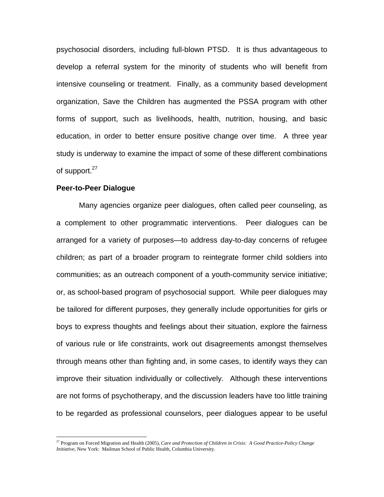psychosocial disorders, including full-blown PTSD. It is thus advantageous to develop a referral system for the minority of students who will benefit from intensive counseling or treatment. Finally, as a community based development organization, Save the Children has augmented the PSSA program with other forms of support, such as livelihoods, health, nutrition, housing, and basic education, in order to better ensure positive change over time. A three year study is underway to examine the impact of some of these different combinations of support.<sup>27</sup>

### **Peer-to-Peer Dialogue**

 $\overline{a}$ 

Many agencies organize peer dialogues, often called peer counseling, as a complement to other programmatic interventions. Peer dialogues can be arranged for a variety of purposes—to address day-to-day concerns of refugee children; as part of a broader program to reintegrate former child soldiers into communities; as an outreach component of a youth-community service initiative; or, as school-based program of psychosocial support. While peer dialogues may be tailored for different purposes, they generally include opportunities for girls or boys to express thoughts and feelings about their situation, explore the fairness of various rule or life constraints, work out disagreements amongst themselves through means other than fighting and, in some cases, to identify ways they can improve their situation individually or collectively. Although these interventions are not forms of psychotherapy, and the discussion leaders have too little training to be regarded as professional counselors, peer dialogues appear to be useful

<sup>27</sup> Program on Forced Migration and Health (2005), *Care and Protection of Children in Crisis: A Good Practice-Policy Change Initiative*, New York: Mailman School of Public Health, Columbia University.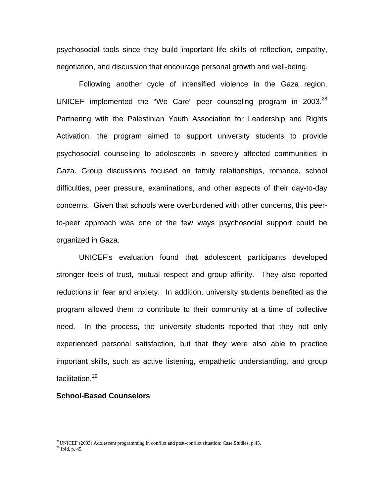psychosocial tools since they build important life skills of reflection, empathy, negotiation, and discussion that encourage personal growth and well-being.

Following another cycle of intensified violence in the Gaza region, UNICEF implemented the "We Care" peer counseling program in  $2003.<sup>28</sup>$ Partnering with the Palestinian Youth Association for Leadership and Rights Activation, the program aimed to support university students to provide psychosocial counseling to adolescents in severely affected communities in Gaza. Group discussions focused on family relationships, romance, school difficulties, peer pressure, examinations, and other aspects of their day-to-day concerns. Given that schools were overburdened with other concerns, this peerto-peer approach was one of the few ways psychosocial support could be organized in Gaza.

UNICEF's evaluation found that adolescent participants developed stronger feels of trust, mutual respect and group affinity. They also reported reductions in fear and anxiety. In addition, university students benefited as the program allowed them to contribute to their community at a time of collective need. In the process, the university students reported that they not only experienced personal satisfaction, but that they were also able to practice important skills, such as active listening, empathetic understanding, and group facilitation.<sup>29</sup>

#### **School-Based Counselors**

 $^{28}$ UNICEF (2003) Adolescent programming in conflict and post-conflict situation: Case Studies, p.45.  $^{29}$  Ibid, p. 45.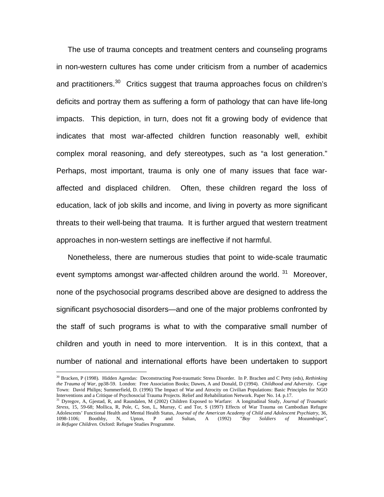The use of trauma concepts and treatment centers and counseling programs in non-western cultures has come under criticism from a number of academics and practitioners.<sup>30</sup> Critics suggest that trauma approaches focus on children's deficits and portray them as suffering a form of pathology that can have life-long impacts. This depiction, in turn, does not fit a growing body of evidence that indicates that most war-affected children function reasonably well, exhibit complex moral reasoning, and defy stereotypes, such as "a lost generation." Perhaps, most important, trauma is only one of many issues that face waraffected and displaced children. Often, these children regard the loss of education, lack of job skills and income, and living in poverty as more significant threats to their well-being that trauma. It is further argued that western treatment approaches in non-western settings are ineffective if not harmful.

Nonetheless, there are numerous studies that point to wide-scale traumatic event symptoms amongst war-affected children around the world.<sup>31</sup> Moreover, none of the psychosocial programs described above are designed to address the significant psychosocial disorders—and one of the major problems confronted by the staff of such programs is what to with the comparative small number of children and youth in need to more intervention. It is in this context, that a number of national and international efforts have been undertaken to support

<sup>30</sup> Bracken, P (1998). Hidden Agendas: Deconstructing Post-traumatic Stress Disorder. In P. Brachen and C Petty (eds), *Rethinking the Trauma of War*, pp38-59. London: Free Association Books; Dawes, A and Donald, D (1994). *Childhood and Adversity*. Cape Town: David Philips; Summerfield, D. (1996) The Impact of War and Atrocity on Civilian Populations: Basic Principles for NGO Interventions and a Critique of Psychosocial Trauma Projects. Relief and Rehabilitation Network. Paper No. 14. p.17.<br><sup>31</sup> Dyregov, A, Gjestad, R, and Raundalen, M (2002) Children Exposed to Warfare: A longitudinal Study,

*Stress*, 15, 59-68; Mollica, R, Pole, C, Son, L, Murray, C and Tor, S (1997) Effects of War Trauma on Cambodian Refugee Adolescents' Functional Health and Mental Health Status, *Journal of the American Academy of Child and Adolescent Psychiatry*, 36, 1098-1106; Boothby, N, Upton, P and Sultan, A (1992) "*Boy Soldiers of Mozambique", in Refugee Children.* Oxford: Refugee Studies Programme.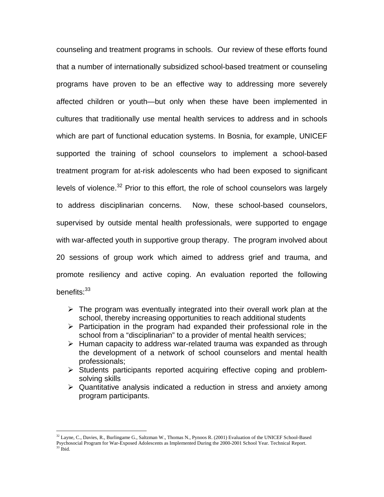counseling and treatment programs in schools. Our review of these efforts found that a number of internationally subsidized school-based treatment or counseling programs have proven to be an effective way to addressing more severely affected children or youth—but only when these have been implemented in cultures that traditionally use mental health services to address and in schools which are part of functional education systems. In Bosnia, for example, UNICEF supported the training of school counselors to implement a school-based treatment program for at-risk adolescents who had been exposed to significant levels of violence. $32$  Prior to this effort, the role of school counselors was largely to address disciplinarian concerns. Now, these school-based counselors, supervised by outside mental health professionals, were supported to engage with war-affected youth in supportive group therapy. The program involved about 20 sessions of group work which aimed to address grief and trauma, and promote resiliency and active coping. An evaluation reported the following benefits:<sup>33</sup>

- $\triangleright$  The program was eventually integrated into their overall work plan at the school, thereby increasing opportunities to reach additional students
- $\triangleright$  Participation in the program had expanded their professional role in the school from a "disciplinarian" to a provider of mental health services;
- $\triangleright$  Human capacity to address war-related trauma was expanded as through the development of a network of school counselors and mental health professionals;
- $\triangleright$  Students participants reported acquiring effective coping and problemsolving skills
- $\triangleright$  Quantitative analysis indicated a reduction in stress and anxiety among program participants.

<sup>&</sup>lt;sup>32</sup> Layne, C., Davies, R., Burlingame G., Saltzman W., Thomas N., Pynoos R. (2001) Evaluation of the UNICEF School-Based Psychosocial Program for War-Exposed Adolescents as Implemented During the 2000-2001 School Year. Technical Report.<br><sup>33</sup> Ibid.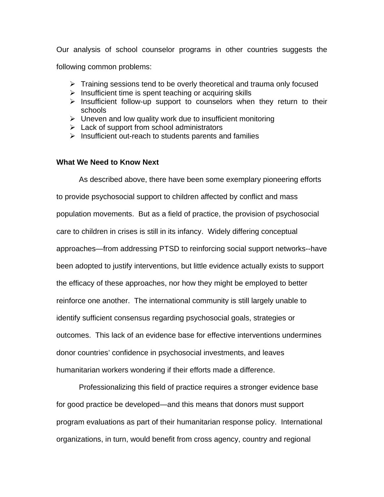Our analysis of school counselor programs in other countries suggests the following common problems:

- $\triangleright$  Training sessions tend to be overly theoretical and trauma only focused
- $\triangleright$  Insufficient time is spent teaching or acquiring skills
- $\triangleright$  Insufficient follow-up support to counselors when they return to their schools
- $\triangleright$  Uneven and low quality work due to insufficient monitoring
- $\triangleright$  Lack of support from school administrators
- $\triangleright$  Insufficient out-reach to students parents and families

## **What We Need to Know Next**

As described above, there have been some exemplary pioneering efforts to provide psychosocial support to children affected by conflict and mass population movements. But as a field of practice, the provision of psychosocial care to children in crises is still in its infancy. Widely differing conceptual approaches—from addressing PTSD to reinforcing social support networks--have been adopted to justify interventions, but little evidence actually exists to support the efficacy of these approaches, nor how they might be employed to better reinforce one another. The international community is still largely unable to identify sufficient consensus regarding psychosocial goals, strategies or outcomes. This lack of an evidence base for effective interventions undermines donor countries' confidence in psychosocial investments, and leaves humanitarian workers wondering if their efforts made a difference.

Professionalizing this field of practice requires a stronger evidence base for good practice be developed—and this means that donors must support program evaluations as part of their humanitarian response policy. International organizations, in turn, would benefit from cross agency, country and regional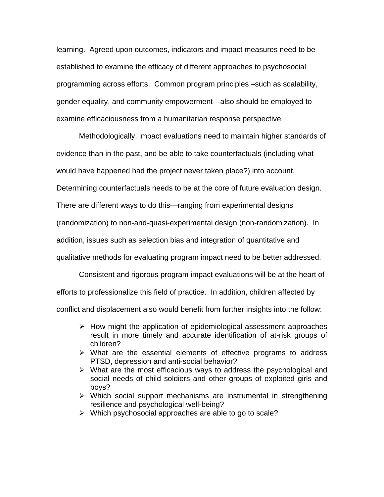learning. Agreed upon outcomes, indicators and impact measures need to be established to examine the efficacy of different approaches to psychosocial programming across efforts. Common program principles –such as scalability, gender equality, and community empowerment---also should be employed to examine efficaciousness from a humanitarian response perspective.

Methodologically, impact evaluations need to maintain higher standards of evidence than in the past, and be able to take counterfactuals (including what would have happened had the project never taken place?) into account. Determining counterfactuals needs to be at the core of future evaluation design. There are different ways to do this—ranging from experimental designs (randomization) to non-and-quasi-experimental design (non-randomization). In addition, issues such as selection bias and integration of quantitative and qualitative methods for evaluating program impact need to be better addressed.

 Consistent and rigorous program impact evaluations will be at the heart of efforts to professionalize this field of practice. In addition, children affected by conflict and displacement also would benefit from further insights into the follow:

- $\triangleright$  How might the application of epidemiological assessment approaches result in more timely and accurate identification of at-risk groups of children?
- $\triangleright$  What are the essential elements of effective programs to address PTSD, depression and anti-social behavior?
- $\triangleright$  What are the most efficacious ways to address the psychological and social needs of child soldiers and other groups of exploited girls and boys?
- $\triangleright$  Which social support mechanisms are instrumental in strengthening resilience and psychological well-being?
- $\triangleright$  Which psychosocial approaches are able to go to scale?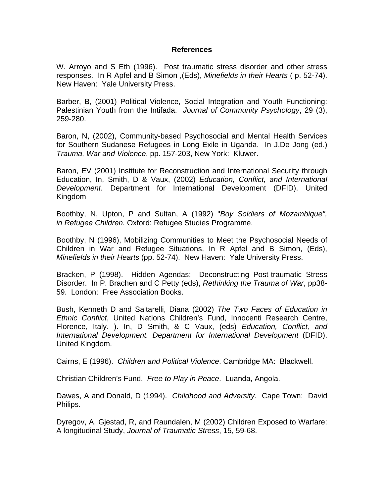### **References**

W. Arroyo and S Eth (1996). Post traumatic stress disorder and other stress responses. In R Apfel and B Simon ,(Eds), *Minefields in their Hearts* ( p. 52-74). New Haven: Yale University Press.

Barber, B, (2001) Political Violence, Social Integration and Youth Functioning: Palestinian Youth from the Intifada. *Journal of Community Psychology*, 29 (3), 259-280.

Baron, N, (2002), Community-based Psychosocial and Mental Health Services for Southern Sudanese Refugees in Long Exile in Uganda. In J.De Jong (ed.) *Trauma, War and Violence*, pp. 157-203, New York: Kluwer.

Baron, EV (2001) Institute for Reconstruction and International Security through Education, In, Smith, D & Vaux, (2002) *Education, Conflict, and International Development*. Department for International Development (DFID). United Kingdom

Boothby, N, Upton, P and Sultan, A (1992) "*Boy Soldiers of Mozambique", in Refugee Children.* Oxford: Refugee Studies Programme.

Boothby, N (1996), Mobilizing Communities to Meet the Psychosocial Needs of Children in War and Refugee Situations, In R Apfel and B Simon, (Eds), *Minefields in their Hearts* (pp. 52-74). New Haven: Yale University Press.

Bracken, P (1998). Hidden Agendas: Deconstructing Post-traumatic Stress Disorder. In P. Brachen and C Petty (eds), *Rethinking the Trauma of War*, pp38- 59. London: Free Association Books.

Bush, Kenneth D and Saltarelli, Diana (2002) *The Two Faces of Education in Ethnic Conflict*, United Nations Children's Fund, Innocenti Research Centre, Florence, Italy. ). In, D Smith, & C Vaux, (eds) *Education, Conflict, and International Development. Department for International Development* (DFID). United Kingdom.

Cairns, E (1996). *Children and Political Violence*. Cambridge MA: Blackwell.

Christian Children's Fund. *Free to Play in Peace*. Luanda, Angola.

Dawes, A and Donald, D (1994). *Childhood and Adversity*. Cape Town: David Philips.

Dyregov, A, Gjestad, R, and Raundalen, M (2002) Children Exposed to Warfare: A longitudinal Study, *Journal of Traumatic Stress*, 15, 59-68.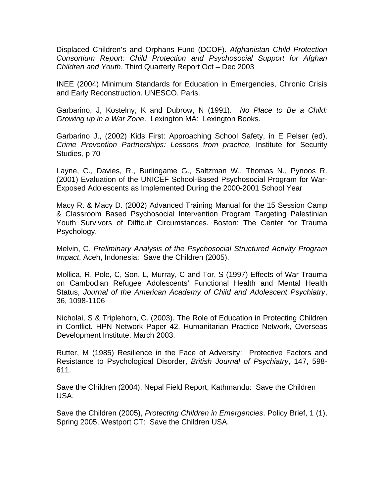Displaced Children's and Orphans Fund (DCOF). *Afghanistan Child Protection Consortium Report: Child Protection and Psychosocial Support for Afghan Children and Youth*. Third Quarterly Report Oct – Dec 2003

INEE (2004) Minimum Standards for Education in Emergencies, Chronic Crisis and Early Reconstruction. UNESCO. Paris.

Garbarino, J, Kostelny, K and Dubrow, N (1991). *No Place to Be a Child: Growing up in a War Zone*. Lexington MA: Lexington Books.

Garbarino J., (2002) Kids First: Approaching School Safety, in E Pelser (ed), *Crime Prevention Partnerships: Lessons from practice,* Institute for Security Studies*,* p 70

Layne, C., Davies, R., Burlingame G., Saltzman W., Thomas N., Pynoos R. (2001) Evaluation of the UNICEF School-Based Psychosocial Program for War-Exposed Adolescents as Implemented During the 2000-2001 School Year

Macy R. & Macy D. (2002) Advanced Training Manual for the 15 Session Camp & Classroom Based Psychosocial Intervention Program Targeting Palestinian Youth Survivors of Difficult Circumstances. Boston: The Center for Trauma Psychology.

Melvin, C*. Preliminary Analysis of the Psychosocial Structured Activity Program Impact*, Aceh, Indonesia: Save the Children (2005).

Mollica, R, Pole, C, Son, L, Murray, C and Tor, S (1997) Effects of War Trauma on Cambodian Refugee Adolescents' Functional Health and Mental Health Status, *Journal of the American Academy of Child and Adolescent Psychiatry*, 36, 1098-1106

Nicholai, S & Triplehorn, C. (2003). The Role of Education in Protecting Children in Conflict. HPN Network Paper 42. Humanitarian Practice Network, Overseas Development Institute. March 2003.

Rutter, M (1985) Resilience in the Face of Adversity: Protective Factors and Resistance to Psychological Disorder, *British Journal of Psychiatry*, 147, 598- 611.

Save the Children (2004), Nepal Field Report, Kathmandu: Save the Children USA.

Save the Children (2005), *Protecting Children in Emergencies*. Policy Brief, 1 (1), Spring 2005, Westport CT: Save the Children USA.